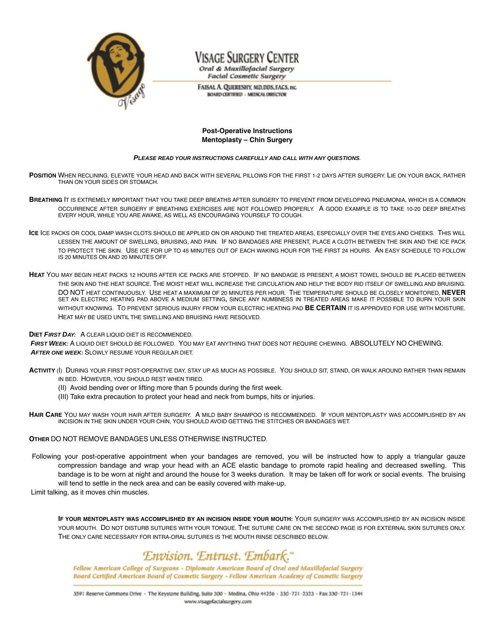

# Visage Surgery Center

Oral & Maxillofacial Surgery **Facial Cosmetic Surgery** 

FAISAL A. QUERESHY, MD, DDS, FACS, INC. **BOARD CERTIFIED - MEDICAL DIRECTOR** 

## **Post-Operative Instructions Mentoplasty – Chin Surgery**

#### **PLEASE READ YOUR INSTRUCTIONS CAREFULLY AND CALL WITH ANY QUESTIONS**.

**POSITION** WHEN RECLINING, ELEVATE YOUR HEAD AND BACK WITH SEVERAL PILLOWS FOR THE FIRST 1-2 DAYS AFTER SURGERY. LIE ON YOUR BACK, RATHER THAN ON YOUR SIDES OR STOMACH.

- **BREATHING** IT IS EXTREMELY IMPORTANT THAT YOU TAKE DEEP BREATHS AFTER SURGERY TO PREVENT FROM DEVELOPING PNEUMONIA, WHICH IS A COMMON OCCURRENCE AFTER SURGERY IF BREATHING EXERCISES ARE NOT FOLLOWED PROPERLY. A GOOD EXAMPLE IS TO TAKE 10-20 DEEP BREATHS EVERY HOUR, WHILE YOU ARE AWAKE, AS WELL AS ENCOURAGING YOURSELF TO COUGH.
- **ICE** ICE PACKS OR COOL DAMP WASH CLOTS SHOULD BE APPLIED ON OR AROUND THE TREATED AREAS, ESPECIALLY OVER THE EYES AND CHEEKS. THIS WILL LESSEN THE AMOUNT OF SWELLING, BRUISING, AND PAIN. IF NO BANDAGES ARE PRESENT, PLACE A CLOTH BETWEEN THE SKIN AND THE ICE PACK TO PROTECT THE SKIN. USE ICE FOR UP TO 45 MINUTES OUT OF EACH WAKING HOUR FOR THE FIRST 24 HOURS. AN EASY SCHEDULE TO FOLLOW IS 20 MINUTES ON AND 20 MINUTES OFF.
- **HEAT** YOU MAY BEGIN HEAT PACKS 12 HOURS AFTER ICE PACKS ARE STOPPED. IF NO BANDAGE IS PRESENT, A MOIST TOWEL SHOULD BE PLACED BETWEEN THE SKIN AND THE HEAT SOURCE. THE MOIST HEAT WILL INCREASE THE CIRCULATION AND HELP THE BODY RID ITSELF OF SWELLING AND BRUISING. DO NOT HEAT CONTINUOUSLY. USE HEAT A MAXIMUM OF 20 MINUTES PER HOUR. THE TEMPERATURE SHOULD BE CLOSELY MONITORED, **NEVER** SET AN ELECTRIC HEATING PAD ABOVE A MEDIUM SETTING**,** SINCE ANY NUMBNESS IN TREATED AREAS MAKE IT POSSIBLE TO BURN YOUR SKIN WITHOUT KNOWING. TO PREVENT SERIOUS INJURY FROM YOUR ELECTRIC HEATING PAD **BE CERTAIN** IT IS APPROVED FOR USE WITH MOISTURE. HEAT MAY BE USED UNTIL THE SWELLING AND BRUISING HAVE RESOLVED.

#### **DIET FIRST DAY:** A CLEAR LIQUID DIET IS RECOMMENDED.

**FIRST WEEK:** A LIQUID DIET SHOULD BE FOLLOWED. YOU MAY EAT ANYTHING THAT DOES NOT REQUIRE CHEWING. ABSOLUTELY NO CHEWING. **AFTER ONE WEEK:** SLOWLY RESUME YOUR REGULAR DIET.

- **ACTIVITY** (I) DURING YOUR FIRST POST-OPERATIVE DAY, STAY UP AS MUCH AS POSSIBLE. YOU SHOULD SIT, STAND, OR WALK AROUND RATHER THAN REMAIN IN BED. HOWEVER, YOU SHOULD REST WHEN TIRED.
	- (II) Avoid bending over or lifting more than 5 pounds during the first week.
	- (III) Take extra precaution to protect your head and neck from bumps, hits or injuries.
- **HAIR CARE** YOU MAY WASH YOUR HAIR AFTER SURGERY. A MILD BABY SHAMPOO IS RECOMMENDED. IF YOUR MENTOPLASTY WAS ACCOMPLISHED BY AN INCISION IN THE SKIN UNDER YOUR CHIN, YOU SHOULD AVOID GETTING THE STITCHES OR BANDAGES WET.

#### **OTHER** DO NOT REMOVE BANDAGES UNLESS OTHERWISE INSTRUCTED.

Following your post-operative appointment when your bandages are removed, you will be instructed how to apply a triangular gauze compression bandage and wrap your head with an ACE elastic bandage to promote rapid healing and decreased swelling. This bandage is to be worn at night and around the house for 3 weeks duration. It may be taken off for work or social events. The bruising will tend to settle in the neck area and can be easily covered with make-up.

Limit talking, as it moves chin muscles.

**IF YOUR MENTOPLASTY WAS ACCOMPLISHED BY AN INCISION INSIDE YOUR MOUTH:** YOUR SURGERY WAS ACCOMPLISHED BY AN INCISION INSIDE YOUR MOUTH. DO NOT DISTURB SUTURES WITH YOUR TONGUE. THE SUTURE CARE ON THE SECOND PAGE IS FOR EXTERNAL SKIN SUTURES ONLY. THE ONLY CARE NECESSARY FOR INTRA-ORAL SUTURES IS THE MOUTH RINSE DESCRIBED BELOW.

# Envision. Entrust. Embark."

Fellow American College of Surgeons - Diplomate American Board of Oral and Maxillofacial Surgery Board Certified American Board of Cosmetic Surgery - Fellow American Academy of Cosmetic Surgery

3591 Reserve Commons Drive · The Keystone Building, Suite 300 - Medina, Ohio 44256 - 330-721-2323 - Fax 330-721-1344 www.visagefacialsurgery.com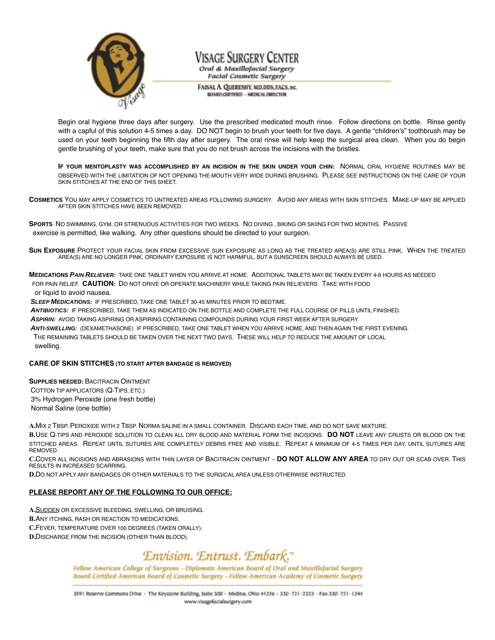

# Visage Surgery Center

Oral & Maxillofacial Surgery **Facial Cosmetic Surgery** 

FAISAL A. QUERESHY, MD, DDS, FACS, INC. **BOARD CERTIFIED - MEDICAL DIRECTOR** 

Begin oral hygiene three days after surgery. Use the prescribed medicated mouth rinse. Follow directions on bottle. Rinse gently with a capful of this solution 4-5 times a day. DO NOT begin to brush your teeth for five days. A gentle "children's" toothbrush may be used on your teeth beginning the fifth day after surgery. The oral rinse will help keep the surgical area clean. When you do begin gentle brushing of your teeth, make sure that you do not brush across the incisions with the bristles.

**IF YOUR MENTOPLASTY WAS ACCOMPLISHED BY AN INCISION IN THE SKIN UNDER YOUR CHIN:** NORMAL ORAL HYGIENE ROUTINES MAY BE OBSERVED WITH THE LIMITATION OF NOT OPENING THE MOUTH VERY WIDE DURING BRUSHING. PLEASE SEE INSTRUCTIONS ON THE CARE OF YOUR SKIN STITCHES AT THE END OF THIS SHEET.

**COSMETICS** YOU MAY APPLY COSMETICS TO UNTREATED AREAS FOLLOWING SURGERY. AVOID ANY AREAS WITH SKIN STITCHES. MAKE-UP MAY BE APPLIED AFTER SKIN STITCHES HAVE BEEN REMOVED.

**SPORTS** NO SWIMMING, GYM, OR STRENUOUS ACTIVITIES FOR TWO WEEKS. NO DIVING , BIKING OR SKIING FOR TWO MONTHS. PASSIVE exercise is permitted, like walking. Any other questions should be directed to your surgeon.

**SUN EXPOSURE** PROTECT YOUR FACIAL SKIN FROM EXCESSIVE SUN EXPOSURE AS LONG AS THE TREATED AREA(S) ARE STILL PINK. WHEN THE TREATED AREA(S) ARE NO LONGER PINK, ORDINARY EXPOSURE IS NOT HARMFUL, BUT A SUNSCREEN SHOULD ALWAYS BE USED.

**MEDICATIONS PAIN RELIEVER:** TAKE ONE TABLET WHEN YOU ARRIVE AT HOME. ADDITIONAL TABLETS MAY BE TAKEN EVERY 4-6 HOURS AS NEEDED FOR PAIN RELIEF. **CAUTION:** DO NOT DRIVE OR OPERATE MACHINERY WHILE TAKING PAIN RELIEVERS. TAKE WITH FOOD

or liquid to avoid nausea.

**SLEEP MEDICATIONS:** IF PRESCRIBED, TAKE ONE TABLET 30-45 MINUTES PRIOR TO BEDTIME.

**ANTIBIOTICS:** IF PRESCRIBED, TAKE THEM AS INDICATED ON THE BOTTLE AND COMPLETE THE FULL COURSE OF PILLS UNTIL FINISHED.

**ASPIRIN:** AVOID TAKING ASPIRING OR ASPIRING CONTAINING COMPOUNDS DURING YOUR FIRST WEEK AFTER SURGERY.

**ANTI-SWELLING:** (DEXAMETHASONE) IF PRESCRIBED, TAKE ONE TABLET WHEN YOU ARRIVE HOME, AND THEN AGAIN THE FIRST EVENING.

THE REMAINING TABLETS SHOULD BE TAKEN OVER THE NEXT TWO DAYS. THESE WILL HELP TO REDUCE THE AMOUNT OF LOCAL swelling.

## **CARE OF SKIN STITCHES (TO START AFTER BANDAGE IS REMOVED)**

**SUPPLIES NEEDED:** BACITRACIN OINTMENT COTTON TIP APPLICATORS (Q-TIPS, ETC.) 3% Hydrogen Peroxide (one fresh bottle) Normal Saline (one bottle)

**A.**MIX 2 TBSP. PEROXIDE WITH 2 TBSP. NORMA SALINE IN A SMALL CONTAINER. DISCARD EACH TIME, AND DO NOT SAVE MIXTURE.

**B.**USE Q-TIPS AND PEROXIDE SOLUTION TO CLEAN ALL DRY BLOOD AND MATERIAL FORM THE INCISIONS. **DO NOT** LEAVE ANY CRUSTS OR BLOOD ON THE STITCHED AREAS. REPEAT UNTIL SUTURES ARE COMPLETELY DEBRIS FREE AND VISIBLE. REPEAT A MINIMUM OF 4-5 TIMES PER DAY, UNTIL SUTURES ARE REMOVED.

**C.**COVER ALL INCISIONS AND ABRASIONS WITH THIN LAYER OF BACITRACIN OINTMENT – **DO NOT ALLOW ANY AREA** TO DRY OUT OR SCAB OVER. THIS RESULTS IN INCREASED SCARRING.

**D.**DO NOT APPLY ANY BANDAGES OR OTHER MATERIALS TO THE SURGICAL AREA UNLESS OTHERWISE INSTRUCTED.

## **PLEASE REPORT ANY OF THE FOLLOWING TO OUR OFFICE:**

**A.**SUDDEN OR EXCESSIVE BLEEDING, SWELLING, OR BRUISING.

**B.**ANY ITCHING, RASH OR REACTION TO MEDICATIONS.

**C.**FEVER, TEMPERATURE OVER 100 DEGREES (TAKEN ORALLY).

**D.**DISCHARGE FROM THE INCISION (OTHER THAN BLOOD).

# Envision. Entrust. Embark."

Fellow American College of Surgeons - Diplomate American Board of Oral and Maxillofacial Surgery Board Certified American Board of Cosmetic Surgery - Fellow American Academy of Cosmetic Surgery

3591 Reserve Commons Drive · The Keystone Building, Suite 300 - Medina, Ohio 44256 - 330 - 721 - 2323 - Fax 330 - 721 - 1344 www.visagefacialsurgery.com